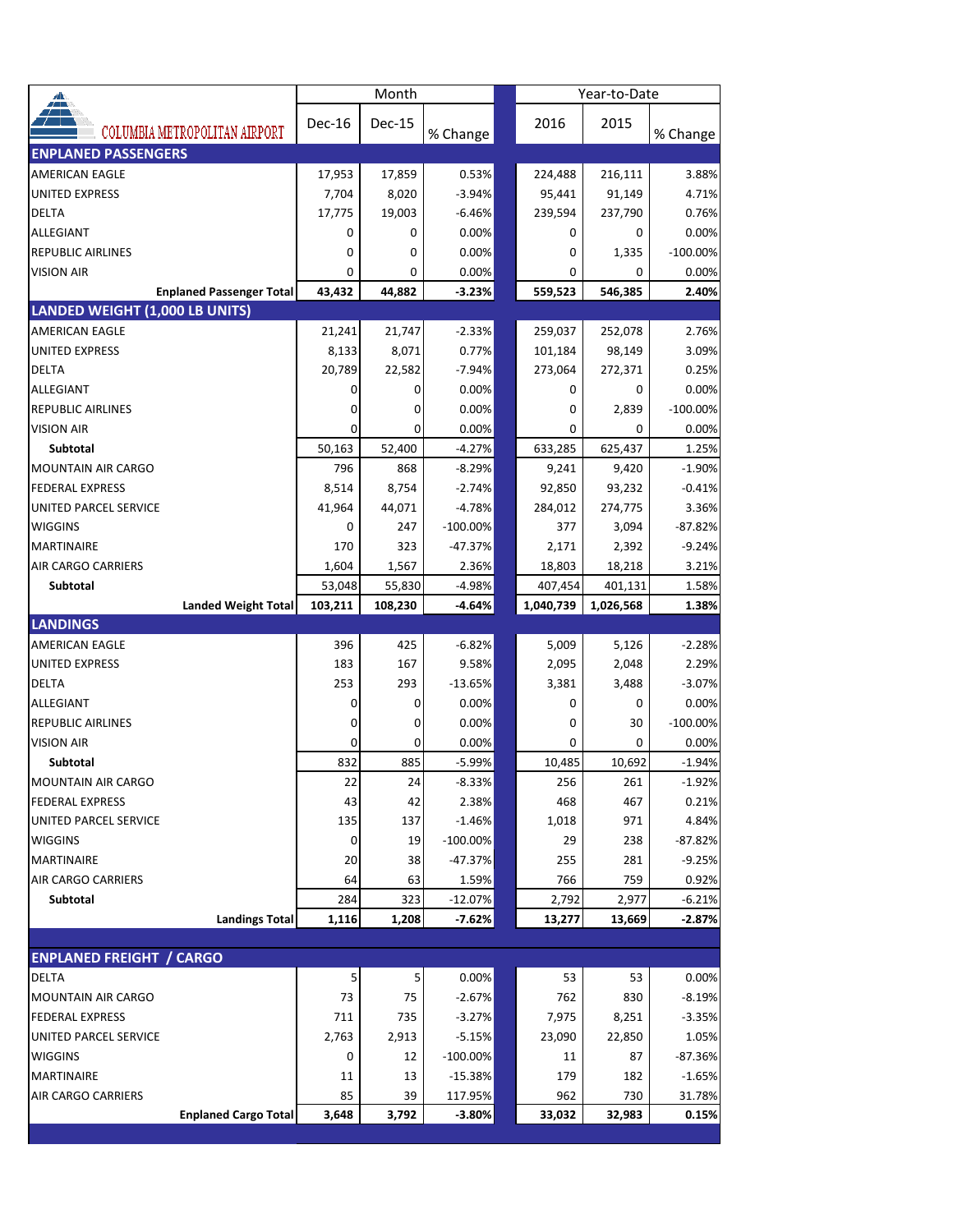| $\triangleq$                                    |            | Month    |                      | Year-to-Date |           |              |                   |  |
|-------------------------------------------------|------------|----------|----------------------|--------------|-----------|--------------|-------------------|--|
|                                                 | Dec-16     | Dec-15   |                      |              | 2016      | 2015         |                   |  |
| COLUMBIA METROPOLITAN AIRPORT                   |            |          | % Change             |              |           |              | % Change          |  |
| <b>ENPLANED PASSENGERS</b>                      |            |          |                      |              |           |              |                   |  |
| <b>AMERICAN EAGLE</b>                           | 17,953     | 17,859   | 0.53%                |              | 224,488   | 216,111      | 3.88%             |  |
| <b>UNITED EXPRESS</b>                           | 7,704      | 8,020    | $-3.94%$             |              | 95,441    | 91,149       | 4.71%             |  |
| <b>DELTA</b>                                    | 17,775     | 19,003   | $-6.46%$             |              | 239,594   | 237,790      | 0.76%             |  |
| ALLEGIANT                                       | 0          | 0        | 0.00%                |              | 0         | 0            | 0.00%             |  |
| <b>REPUBLIC AIRLINES</b>                        | 0          | 0        | 0.00%                |              | 0         | 1,335        | $-100.00\%$       |  |
| <b>VISION AIR</b>                               | 0          | 0        | 0.00%                |              | 0         | 0            | 0.00%             |  |
| <b>Enplaned Passenger Total</b>                 | 43,432     | 44,882   | $-3.23%$             |              | 559,523   | 546,385      | 2.40%             |  |
| LANDED WEIGHT (1,000 LB UNITS)                  |            |          |                      |              |           |              |                   |  |
| <b>AMERICAN EAGLE</b>                           | 21,241     | 21,747   | $-2.33%$             |              | 259,037   | 252,078      | 2.76%             |  |
| <b>UNITED EXPRESS</b>                           | 8,133      | 8,071    | 0.77%                |              | 101,184   | 98,149       | 3.09%             |  |
| DELTA                                           | 20,789     | 22,582   | $-7.94%$             |              | 273,064   | 272,371      | 0.25%             |  |
| ALLEGIANT                                       | 0          | 0        | 0.00%                |              | 0         | 0            | 0.00%             |  |
| <b>REPUBLIC AIRLINES</b>                        | 0          | 0        | 0.00%                |              | 0         | 2,839        | $-100.00\%$       |  |
| <b>VISION AIR</b>                               | 0          | 0        | 0.00%                |              | 0         | 0            | 0.00%             |  |
| <b>Subtotal</b>                                 | 50,163     | 52,400   | $-4.27%$             |              | 633,285   | 625,437      | 1.25%             |  |
| <b>MOUNTAIN AIR CARGO</b>                       | 796        | 868      | $-8.29%$             |              | 9,241     | 9,420        | $-1.90%$          |  |
| <b>FEDERAL EXPRESS</b>                          | 8,514      | 8,754    | $-2.74%$             |              | 92,850    | 93,232       | $-0.41%$          |  |
| <b>UNITED PARCEL SERVICE</b>                    | 41,964     | 44,071   | $-4.78%$             |              | 284,012   | 274,775      | 3.36%             |  |
| <b>WIGGINS</b>                                  | 0          | 247      | $-100.00\%$          |              | 377       | 3,094        | $-87.82%$         |  |
| <b>MARTINAIRE</b>                               | 170        | 323      | $-47.37%$            |              | 2,171     | 2,392        | $-9.24%$          |  |
| <b>AIR CARGO CARRIERS</b>                       | 1,604      | 1,567    | 2.36%                |              | 18,803    | 18,218       | 3.21%             |  |
| Subtotal                                        | 53,048     | 55,830   | $-4.98%$             |              | 407,454   | 401,131      | 1.58%             |  |
| <b>Landed Weight Total</b>                      | 103,211    | 108,230  | $-4.64%$             |              | 1,040,739 | 1,026,568    | 1.38%             |  |
| <b>LANDINGS</b>                                 |            |          |                      |              |           |              |                   |  |
| <b>AMERICAN EAGLE</b>                           | 396        | 425      | $-6.82%$             |              | 5,009     | 5,126        | $-2.28%$          |  |
| <b>UNITED EXPRESS</b>                           | 183        | 167      | 9.58%                |              | 2,095     | 2,048        | 2.29%             |  |
| <b>DELTA</b>                                    | 253        | 293      | $-13.65%$            |              | 3,381     | 3,488        | $-3.07%$          |  |
| <b>ALLEGIANT</b>                                | 0          | 0        | 0.00%                |              | 0         | 0            | 0.00%             |  |
| <b>REPUBLIC AIRLINES</b>                        | 0          | 0        | 0.00%                |              | 0         | 30           | $-100.00\%$       |  |
| <b>VISION AIR</b>                               |            | 0        | 0.00%                |              | 0         | 0            | 0.00%             |  |
| Subtotal                                        | 832        | 885      | $-5.99%$             |              | 10,485    | 10,692       | $-1.94%$          |  |
| MOUNTAIN AIR CARGO                              | 22         | 24       | -8.33%               |              | 256       | 261          | $-1.92%$          |  |
| <b>FEDERAL EXPRESS</b>                          | 43         | 42       | 2.38%                |              | 468       | 467          | 0.21%             |  |
| UNITED PARCEL SERVICE                           | 135        | 137      | $-1.46%$             |              | 1,018     | 971          | 4.84%             |  |
| <b>WIGGINS</b>                                  | 0          | 19       | $-100.00\%$          |              | 29        | 238          | -87.82%           |  |
| <b>MARTINAIRE</b>                               | 20         | 38       | $-47.37%$            |              | 255       | 281          | $-9.25%$          |  |
| <b>AIR CARGO CARRIERS</b>                       | 64         | 63       | 1.59%                |              | 766       | 759          | 0.92%             |  |
| Subtotal                                        | 284        | 323      | $-12.07%$            |              | 2,792     | 2,977        | $-6.21%$          |  |
| <b>Landings Total</b>                           | 1,116      | 1,208    | $-7.62%$             |              | 13,277    | 13,669       | $-2.87%$          |  |
| <b>ENPLANED FREIGHT / CARGO</b>                 |            |          |                      |              |           |              |                   |  |
| DELTA                                           |            |          |                      |              | 53        |              |                   |  |
| MOUNTAIN AIR CARGO                              | 5<br>73    | 5<br>75  | 0.00%<br>$-2.67%$    |              | 762       | 53<br>830    | 0.00%<br>$-8.19%$ |  |
|                                                 |            |          |                      |              |           |              |                   |  |
| <b>FEDERAL EXPRESS</b><br>UNITED PARCEL SERVICE | 711        | 735      | $-3.27%$<br>$-5.15%$ |              | 7,975     | 8,251        | $-3.35%$          |  |
| <b>WIGGINS</b>                                  | 2,763<br>0 | 2,913    | $-100.00\%$          |              | 23,090    | 22,850<br>87 | 1.05%<br>-87.36%  |  |
| <b>MARTINAIRE</b>                               | 11         | 12<br>13 | $-15.38%$            |              | 11<br>179 | 182          | $-1.65%$          |  |
| <b>AIR CARGO CARRIERS</b>                       | 85         | 39       | 117.95%              |              | 962       | 730          | 31.78%            |  |
| <b>Enplaned Cargo Total</b>                     | 3,648      | 3,792    | $-3.80%$             |              | 33,032    | 32,983       | 0.15%             |  |
|                                                 |            |          |                      |              |           |              |                   |  |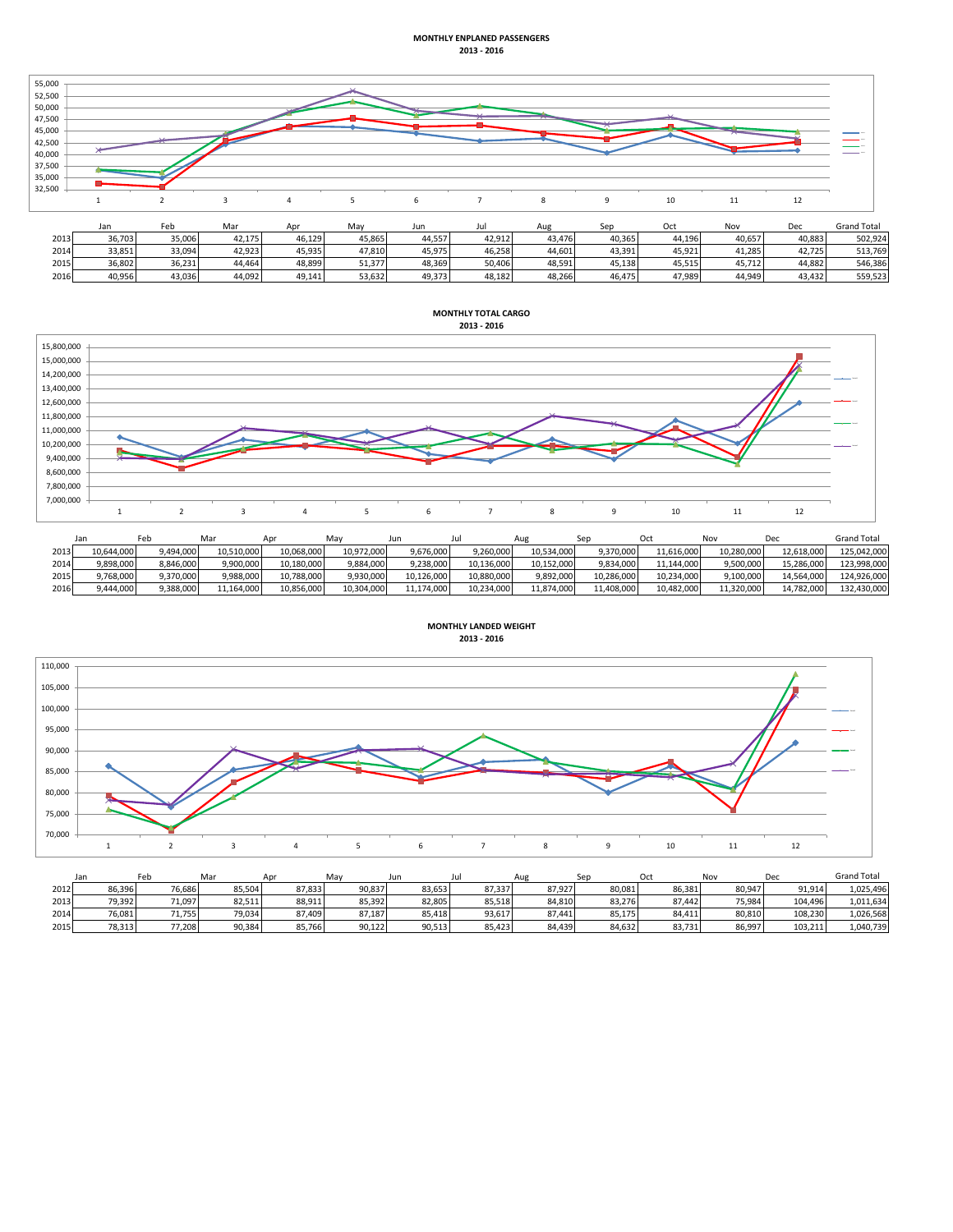## **MONTHLY ENPLANED PASSENGERS 2013 - 2016**



|      | Jall   | reu    | ivid.  |        | ivid v | <b>JUIL</b> | Jul    | Aug    | <b>JED</b> | ັບເເ   | <b>IVUV</b> | vec    | Gianu lutal |
|------|--------|--------|--------|--------|--------|-------------|--------|--------|------------|--------|-------------|--------|-------------|
| 2013 | 36,703 | 35,006 | 42.175 | 46.129 | 45,865 | 44,557      | 42,912 | 43.476 | 40,365     | 44,196 | 40,657      | 40,883 | 502,924     |
| 2014 | 33,851 | 33,094 | 42,923 | 45.935 | 47.810 | 45,975      | 46,258 | 44,601 | 43,391     | 45.921 | 41,285      | 42.725 | 513.769     |
| 2015 | 36,802 | 36,231 | 44.464 | 48.899 | 51.377 | 48,369      | 50.406 | 48.591 | 45.138     | 45.515 | 45.712      | 44.882 | 546.386     |
| 2016 | 10.956 | 43.036 | 44,092 | 49.141 | 53.632 | 49.373      | 48.182 | 48.266 | 46.475     | 47.989 | 44,949      | 43.432 | 559.523     |



|      | Jar        |           | Mar        | Anr        | Mav        | Jun.       |            | Aug        |            | Oci        | Nov        | Dec        | <b>Grand Total</b> |
|------|------------|-----------|------------|------------|------------|------------|------------|------------|------------|------------|------------|------------|--------------------|
| 2013 | 10,644,000 | 9,494,000 | 10,510,000 | 10,068,000 | 10,972,000 | 9,676,000  | 9,260,000  | 10,534,000 | 9,370,000  | 11,616,000 | 10,280,000 | 12,618,000 | 125,042,000        |
| 2014 | 9,898,000  | 3.846.000 | 9.900.000  | 10.180.000 | 9.884.000  | 9.238.000  | 10.136.000 | 10.152.000 | 9,834,000  | 11.144.000 | 9.500.000  | 15.286.000 | 123.998.000        |
| 2015 | 9,768,000  | 9,370,000 | 9,988,000  | 10,788,000 | 9,930,000  | 10,126,000 | 10,880,000 | 9,892,000  | 10,286,000 | 10,234,000 | 9,100,000  | 14.564.000 | 124,926,000        |
| 2016 | 9,444,000  | 9,388,000 | 11,164,000 | 10,856,000 | 10.304.000 | 11,174,000 | 10,234,000 | 11,874,000 | 11,408,000 | 10,482,000 | 11,320,000 | 14.782.000 | 132,430,000        |



|      | Jan    | Feb    | Mar    | Apr    | May    | Jun    | Jul    | Aug    | Sep    | Oct    | Nov    | Dec     | <b>Grand Total</b> |
|------|--------|--------|--------|--------|--------|--------|--------|--------|--------|--------|--------|---------|--------------------|
| 2012 | 86,396 | 76.686 | 85.504 | 87.833 | 90,837 | 83,653 | 87.337 | 87,927 | 80,081 | 86.381 | 80.947 | 91.914  | 1.025.496          |
| 2013 | 79.392 | 71.097 | 82.511 | 88.911 | 85,392 | 82.805 | 85,518 | 84.810 | 83.276 | 87.442 | 75.984 | 104.496 | 1,011,634          |
| 2014 | 76,081 | 71.755 | 79,034 | 87,409 | 87,187 | 85,418 | 93,617 | 87.441 | 85,175 | 84,411 | 80.810 | 108,230 | 1,026,568          |
| 2015 | 78,313 | 77,208 | 90.384 | 85.766 | 90,122 | 90,513 | 85,423 | 84.439 | 84,632 | 83,731 | 86.997 | 103.211 | 1,040,739          |

**MONTHLY LANDED WEIGHT 2013 - 2016**